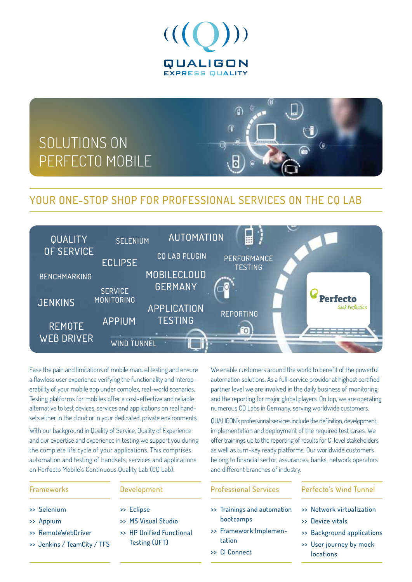

# SOLUTIONS ON PERFECTO MOBILE

## YOUR ONE-STOP SHOP FOR PROFESSIONAL SERVICES ON THE CO LAB



Ease the pain and limitations of mobile manual testing and ensure a flawless user experience verifying the functionality and interoperability of your mobile app under complex, real-world scenarios. Testing platforms for mobiles offer a cost-effective and reliable alternative to test devices, services and applications on real handsets either in the cloud or in your dedicated, private environments.

With our background in Quality of Service, Quality of Experience and our expertise and experience in testing we support you during the complete life cycle of your applications. This comprises automation and testing of handsets, services and applications on Perfecto Mobile's Continuous Quality Lab (CQ Lab).

### Frameworks

### >> Selenium

- >> Appium
- >> RemoteWebDriver
- >> Jenkins / TeamCity / TFS

### Development

- >> Eclipse
- >> MS Visual Studio
- >> HP Unified Functional Testing (UFT)

We enable customers around the world to benefit of the powerful automation solutions. As a full-service provider at highest certified partner level we are involved in the daily business of monitoring and the reporting for major global players. On top, we are operating numerous CQ Labs in Germany, serving worldwide customers.

 $\mathbf{G}$ 

QUALIGON's professional services include the definition, development, implementation and deployment of the required test cases. We offer trainings up to the reporting of results for C-level stakeholders as well as turn-key ready platforms. Our worldwide customers belong to financial sector, assurances, banks, network operators and different branches of industry.

### Professional Services

- >> Trainings and automation bootcamps
- >> Framework Implementation
- >> CI Connect

### Perfecto's Wind Tunnel

- >> Network virtualization
- >> Device vitals
- >> Background applications
- >> User journey by mock
- locations